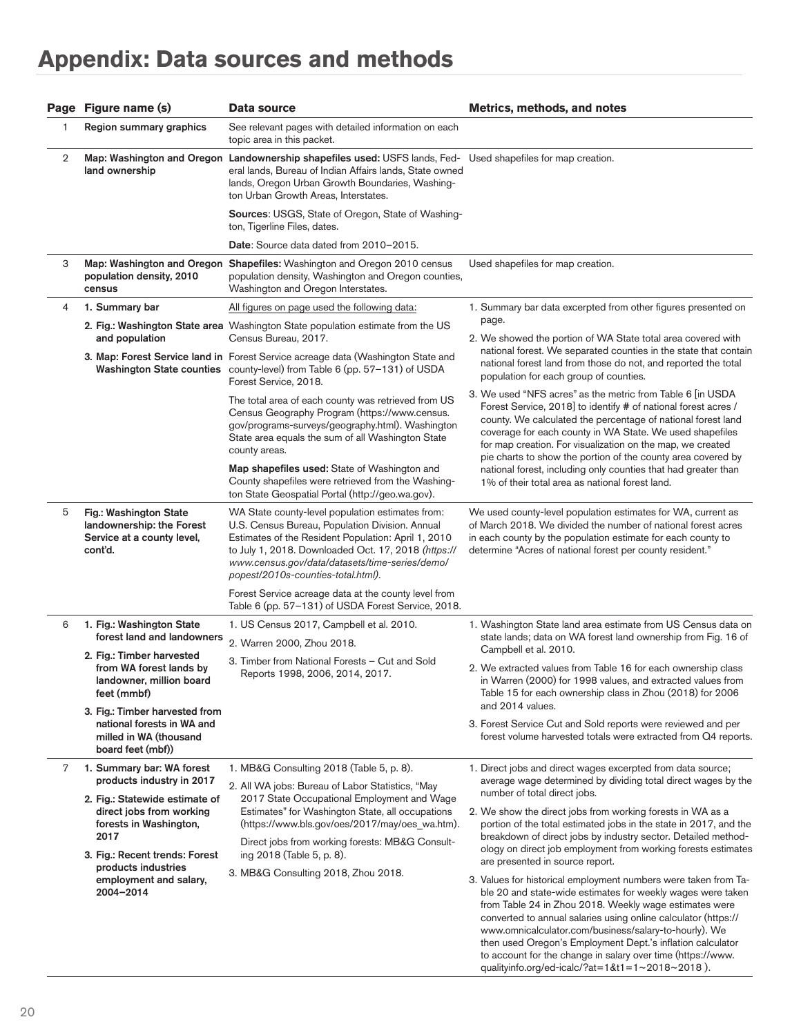## **Appendix: Data sources and methods**

|   | Page Figure name (s)                                                                                                                                   | Data source                                                                                                                                                                                                                                                                                               | Metrics, methods, and notes                                                                                                                                                                                                                                                                                                                                                                                                                                                                                 |
|---|--------------------------------------------------------------------------------------------------------------------------------------------------------|-----------------------------------------------------------------------------------------------------------------------------------------------------------------------------------------------------------------------------------------------------------------------------------------------------------|-------------------------------------------------------------------------------------------------------------------------------------------------------------------------------------------------------------------------------------------------------------------------------------------------------------------------------------------------------------------------------------------------------------------------------------------------------------------------------------------------------------|
| 1 | Region summary graphics                                                                                                                                | See relevant pages with detailed information on each<br>topic area in this packet.                                                                                                                                                                                                                        |                                                                                                                                                                                                                                                                                                                                                                                                                                                                                                             |
| 2 | land ownership                                                                                                                                         | Map: Washington and Oregon Landownership shapefiles used: USFS lands, Fed- Used shapefiles for map creation.<br>eral lands, Bureau of Indian Affairs lands, State owned<br>lands, Oregon Urban Growth Boundaries, Washing-<br>ton Urban Growth Areas, Interstates.                                        |                                                                                                                                                                                                                                                                                                                                                                                                                                                                                                             |
|   |                                                                                                                                                        | Sources: USGS, State of Oregon, State of Washing-<br>ton, Tigerline Files, dates.                                                                                                                                                                                                                         |                                                                                                                                                                                                                                                                                                                                                                                                                                                                                                             |
|   |                                                                                                                                                        | Date: Source data dated from 2010-2015.                                                                                                                                                                                                                                                                   |                                                                                                                                                                                                                                                                                                                                                                                                                                                                                                             |
| З | population density, 2010<br>census                                                                                                                     | Map: Washington and Oregon Shapefiles: Washington and Oregon 2010 census<br>population density, Washington and Oregon counties,<br>Washington and Oregon Interstates.                                                                                                                                     | Used shapefiles for map creation.                                                                                                                                                                                                                                                                                                                                                                                                                                                                           |
| 4 | 1. Summary bar                                                                                                                                         | All figures on page used the following data:                                                                                                                                                                                                                                                              | 1. Summary bar data excerpted from other figures presented on                                                                                                                                                                                                                                                                                                                                                                                                                                               |
|   | and population                                                                                                                                         | 2. Fig.: Washington State area Washington State population estimate from the US<br>Census Bureau, 2017.                                                                                                                                                                                                   | page.<br>2. We showed the portion of WA State total area covered with                                                                                                                                                                                                                                                                                                                                                                                                                                       |
|   |                                                                                                                                                        | 3. Map: Forest Service land in Forest Service acreage data (Washington State and<br>Washington State counties county-level) from Table 6 (pp. 57-131) of USDA<br>Forest Service, 2018.                                                                                                                    | national forest. We separated counties in the state that contain<br>national forest land from those do not, and reported the total<br>population for each group of counties.                                                                                                                                                                                                                                                                                                                                |
|   |                                                                                                                                                        | The total area of each county was retrieved from US<br>Census Geography Program (https://www.census.<br>gov/programs-surveys/geography.html). Washington<br>State area equals the sum of all Washington State<br>county areas.                                                                            | 3. We used "NFS acres" as the metric from Table 6 [in USDA<br>Forest Service, 2018] to identify # of national forest acres /<br>county. We calculated the percentage of national forest land<br>coverage for each county in WA State. We used shapefiles<br>for map creation. For visualization on the map, we created<br>pie charts to show the portion of the county area covered by<br>national forest, including only counties that had greater than<br>1% of their total area as national forest land. |
|   |                                                                                                                                                        | Map shapefiles used: State of Washington and<br>County shapefiles were retrieved from the Washing-<br>ton State Geospatial Portal (http://geo.wa.gov).                                                                                                                                                    |                                                                                                                                                                                                                                                                                                                                                                                                                                                                                                             |
| 5 | Fig.: Washington State<br>landownership: the Forest<br>Service at a county level,<br>cont'd.                                                           | WA State county-level population estimates from:<br>U.S. Census Bureau, Population Division. Annual<br>Estimates of the Resident Population: April 1, 2010<br>to July 1, 2018. Downloaded Oct. 17, 2018 (https://<br>www.census.gov/data/datasets/time-series/demo/<br>popest/2010s-counties-total.html). | We used county-level population estimates for WA, current as<br>of March 2018. We divided the number of national forest acres<br>in each county by the population estimate for each county to<br>determine "Acres of national forest per county resident."                                                                                                                                                                                                                                                  |
|   |                                                                                                                                                        | Forest Service acreage data at the county level from<br>Table 6 (pp. 57-131) of USDA Forest Service, 2018.                                                                                                                                                                                                |                                                                                                                                                                                                                                                                                                                                                                                                                                                                                                             |
| 6 | 1. Fig.: Washington State<br>forest land and landowners                                                                                                | 1. US Census 2017, Campbell et al. 2010.<br>2. Warren 2000, Zhou 2018.                                                                                                                                                                                                                                    | 1. Washington State land area estimate from US Census data on<br>state lands; data on WA forest land ownership from Fig. 16 of                                                                                                                                                                                                                                                                                                                                                                              |
|   | 2. Fig.: Timber harvested<br>from WA forest lands by<br>landowner, million board<br>feet (mmbf)                                                        | 3. Timber from National Forests - Cut and Sold<br>Reports 1998, 2006, 2014, 2017.                                                                                                                                                                                                                         | Campbell et al. 2010.<br>2. We extracted values from Table 16 for each ownership class<br>in Warren (2000) for 1998 values, and extracted values from<br>Table 15 for each ownership class in Zhou (2018) for 2006                                                                                                                                                                                                                                                                                          |
|   | 3. Fig.: Timber harvested from<br>national forests in WA and<br>milled in WA (thousand<br>board feet (mbf))                                            |                                                                                                                                                                                                                                                                                                           | and 2014 values.<br>3. Forest Service Cut and Sold reports were reviewed and per<br>forest volume harvested totals were extracted from Q4 reports.                                                                                                                                                                                                                                                                                                                                                          |
| 7 | 1. Summary bar: WA forest<br>products industry in 2017<br>2. Fig.: Statewide estimate of<br>direct jobs from working<br>forests in Washington,<br>2017 | 1. MB&G Consulting 2018 (Table 5, p. 8).<br>2. All WA jobs: Bureau of Labor Statistics, "May                                                                                                                                                                                                              | 1. Direct jobs and direct wages excerpted from data source;<br>average wage determined by dividing total direct wages by the                                                                                                                                                                                                                                                                                                                                                                                |
|   |                                                                                                                                                        | 2017 State Occupational Employment and Wage<br>Estimates" for Washington State, all occupations<br>(https://www.bls.gov/oes/2017/may/oes wa.htm).                                                                                                                                                         | number of total direct jobs.<br>2. We show the direct jobs from working forests in WA as a<br>portion of the total estimated jobs in the state in 2017, and the<br>breakdown of direct jobs by industry sector. Detailed method-<br>ology on direct job employment from working forests estimates<br>are presented in source report.                                                                                                                                                                        |
|   | 3. Fig.: Recent trends: Forest<br>products industries<br>employment and salary,<br>2004-2014                                                           | Direct jobs from working forests: MB&G Consult-<br>ing 2018 (Table 5, p. 8).                                                                                                                                                                                                                              |                                                                                                                                                                                                                                                                                                                                                                                                                                                                                                             |
|   |                                                                                                                                                        | 3. MB&G Consulting 2018, Zhou 2018.                                                                                                                                                                                                                                                                       | 3. Values for historical employment numbers were taken from Ta-<br>ble 20 and state-wide estimates for weekly wages were taken<br>from Table 24 in Zhou 2018. Weekly wage estimates were<br>converted to annual salaries using online calculator (https://<br>www.omnicalculator.com/business/salary-to-hourly). We<br>then used Oregon's Employment Dept.'s inflation calculator<br>to account for the change in salary over time (https://www.<br>qualityinfo.org/ed-icalc/?at=1&t1=1~2018~2018).         |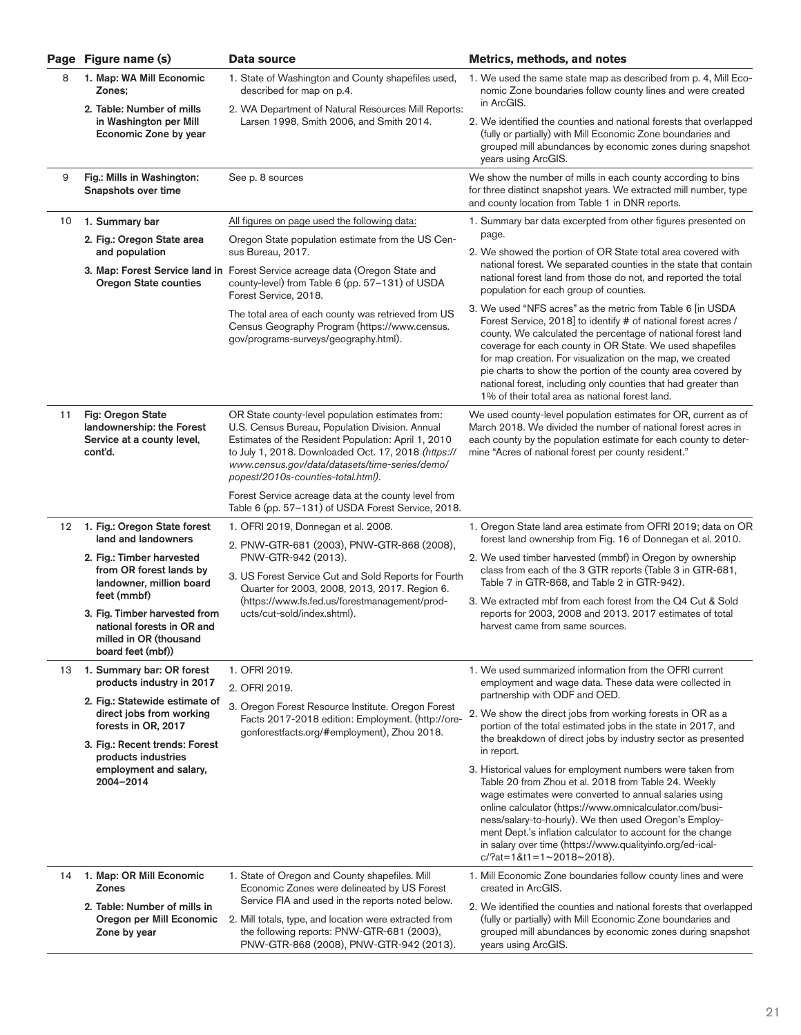|    | Page Figure name (s)                                                                                                   | Data source                                                                                                                                                                                                                                                                                               | Metrics, methods, and notes                                                                                                                                                                                                                                                                                                                                                                                                                                                                                 |
|----|------------------------------------------------------------------------------------------------------------------------|-----------------------------------------------------------------------------------------------------------------------------------------------------------------------------------------------------------------------------------------------------------------------------------------------------------|-------------------------------------------------------------------------------------------------------------------------------------------------------------------------------------------------------------------------------------------------------------------------------------------------------------------------------------------------------------------------------------------------------------------------------------------------------------------------------------------------------------|
| 8  | 1. Map: WA Mill Economic<br>Zones:                                                                                     | 1. State of Washington and County shapefiles used,<br>described for map on p.4.                                                                                                                                                                                                                           | 1. We used the same state map as described from p. 4, Mill Eco-<br>nomic Zone boundaries follow county lines and were created<br>in ArcGIS.                                                                                                                                                                                                                                                                                                                                                                 |
|    | 2. Table: Number of mills<br>in Washington per Mill<br>Economic Zone by year                                           | 2. WA Department of Natural Resources Mill Reports:<br>Larsen 1998, Smith 2006, and Smith 2014.                                                                                                                                                                                                           | 2. We identified the counties and national forests that overlapped<br>(fully or partially) with Mill Economic Zone boundaries and<br>grouped mill abundances by economic zones during snapshot<br>years using ArcGIS.                                                                                                                                                                                                                                                                                       |
| 9  | Fig.: Mills in Washington:<br>Snapshots over time                                                                      | See p. 8 sources                                                                                                                                                                                                                                                                                          | We show the number of mills in each county according to bins<br>for three distinct snapshot years. We extracted mill number, type<br>and county location from Table 1 in DNR reports.                                                                                                                                                                                                                                                                                                                       |
| 10 | 1. Summary bar                                                                                                         | All figures on page used the following data:                                                                                                                                                                                                                                                              | 1. Summary bar data excerpted from other figures presented on                                                                                                                                                                                                                                                                                                                                                                                                                                               |
|    | 2. Fig.: Oregon State area<br>and population                                                                           | Oregon State population estimate from the US Cen-<br>sus Bureau, 2017.                                                                                                                                                                                                                                    | page.<br>2. We showed the portion of OR State total area covered with                                                                                                                                                                                                                                                                                                                                                                                                                                       |
|    | <b>Oregon State counties</b>                                                                                           | 3. Map: Forest Service land in Forest Service acreage data (Oregon State and<br>county-level) from Table 6 (pp. 57-131) of USDA<br>Forest Service, 2018.                                                                                                                                                  | national forest. We separated counties in the state that contain<br>national forest land from those do not, and reported the total<br>population for each group of counties.                                                                                                                                                                                                                                                                                                                                |
|    |                                                                                                                        | The total area of each county was retrieved from US<br>Census Geography Program (https://www.census.<br>gov/programs-surveys/geography.html).                                                                                                                                                             | 3. We used "NFS acres" as the metric from Table 6 [in USDA<br>Forest Service, 2018] to identify # of national forest acres /<br>county. We calculated the percentage of national forest land<br>coverage for each county in OR State. We used shapefiles<br>for map creation. For visualization on the map, we created<br>pie charts to show the portion of the county area covered by<br>national forest, including only counties that had greater than<br>1% of their total area as national forest land. |
| 11 | Fig: Oregon State<br>landownership: the Forest<br>Service at a county level,<br>cont'd.                                | OR State county-level population estimates from:<br>U.S. Census Bureau, Population Division. Annual<br>Estimates of the Resident Population: April 1, 2010<br>to July 1, 2018. Downloaded Oct. 17, 2018 (https://<br>www.census.gov/data/datasets/time-series/demo/<br>popest/2010s-counties-total.html). | We used county-level population estimates for OR, current as of<br>March 2018. We divided the number of national forest acres in<br>each county by the population estimate for each county to deter-<br>mine "Acres of national forest per county resident."                                                                                                                                                                                                                                                |
|    |                                                                                                                        | Forest Service acreage data at the county level from<br>Table 6 (pp. 57-131) of USDA Forest Service, 2018.                                                                                                                                                                                                |                                                                                                                                                                                                                                                                                                                                                                                                                                                                                                             |
| 12 | 1. Fig.: Oregon State forest                                                                                           | 1. OFRI 2019, Donnegan et al. 2008.                                                                                                                                                                                                                                                                       | 1. Oregon State land area estimate from OFRI 2019; data on OR                                                                                                                                                                                                                                                                                                                                                                                                                                               |
|    | land and landowners<br>2. Fig.: Timber harvested<br>from OR forest lands by<br>landowner, million board<br>feet (mmbf) | 2. PNW-GTR-681 (2003), PNW-GTR-868 (2008),<br>PNW-GTR-942 (2013).                                                                                                                                                                                                                                         | forest land ownership from Fig. 16 of Donnegan et al. 2010.<br>2. We used timber harvested (mmbf) in Oregon by ownership                                                                                                                                                                                                                                                                                                                                                                                    |
|    |                                                                                                                        | 3. US Forest Service Cut and Sold Reports for Fourth<br>Quarter for 2003, 2008, 2013, 2017. Region 6.<br>(https://www.fs.fed.us/forestmanagement/prod-<br>ucts/cut-sold/index.shtml).                                                                                                                     | class from each of the 3 GTR reports (Table 3 in GTR-681,<br>Table 7 in GTR-868, and Table 2 in GTR-942).                                                                                                                                                                                                                                                                                                                                                                                                   |
|    | 3. Fig. Timber harvested from<br>national forests in OR and<br>milled in OR (thousand<br>board feet (mbf))             |                                                                                                                                                                                                                                                                                                           | 3. We extracted mbf from each forest from the Q4 Cut & Sold<br>reports for 2003, 2008 and 2013. 2017 estimates of total<br>harvest came from same sources.                                                                                                                                                                                                                                                                                                                                                  |
| 13 | 1. Summary bar: OR forest                                                                                              | 1. OFRI 2019.                                                                                                                                                                                                                                                                                             | 1. We used summarized information from the OFRI current<br>employment and wage data. These data were collected in<br>partnership with ODF and OED.                                                                                                                                                                                                                                                                                                                                                          |
|    | products industry in 2017                                                                                              | 2. OFRI 2019.                                                                                                                                                                                                                                                                                             |                                                                                                                                                                                                                                                                                                                                                                                                                                                                                                             |
|    | 2. Fig.: Statewide estimate of<br>direct jobs from working<br>forests in OR, 2017                                      | 3. Oregon Forest Resource Institute. Oregon Forest<br>Facts 2017-2018 edition: Employment. (http://ore-<br>gonforestfacts.org/#employment), Zhou 2018.                                                                                                                                                    | 2. We show the direct jobs from working forests in OR as a<br>portion of the total estimated jobs in the state in 2017, and<br>the breakdown of direct jobs by industry sector as presented<br>in report.                                                                                                                                                                                                                                                                                                   |
|    | 3. Fig.: Recent trends: Forest<br>products industries<br>employment and salary,<br>2004-2014                           |                                                                                                                                                                                                                                                                                                           |                                                                                                                                                                                                                                                                                                                                                                                                                                                                                                             |
|    |                                                                                                                        |                                                                                                                                                                                                                                                                                                           | 3. Historical values for employment numbers were taken from<br>Table 20 from Zhou et al. 2018 from Table 24. Weekly<br>wage estimates were converted to annual salaries using<br>online calculator (https://www.omnicalculator.com/busi-<br>ness/salary-to-hourly). We then used Oregon's Employ-<br>ment Dept.'s inflation calculator to account for the change<br>in salary over time (https://www.qualityinfo.org/ed-ical-<br>$c$ /?at=1&t1=1~2018~2018).                                                |
| 14 | 1. Map: OR Mill Economic<br><b>Zones</b>                                                                               | 1. State of Oregon and County shapefiles. Mill<br>Economic Zones were delineated by US Forest                                                                                                                                                                                                             | 1. Mill Economic Zone boundaries follow county lines and were<br>created in ArcGIS.                                                                                                                                                                                                                                                                                                                                                                                                                         |
|    | 2. Table: Number of mills in<br>Oregon per Mill Economic<br>Zone by year                                               | Service FIA and used in the reports noted below.<br>2. Mill totals, type, and location were extracted from<br>the following reports: PNW-GTR-681 (2003),<br>PNW-GTR-868 (2008), PNW-GTR-942 (2013).                                                                                                       | 2. We identified the counties and national forests that overlapped<br>(fully or partially) with Mill Economic Zone boundaries and<br>grouped mill abundances by economic zones during snapshot<br>years using ArcGIS.                                                                                                                                                                                                                                                                                       |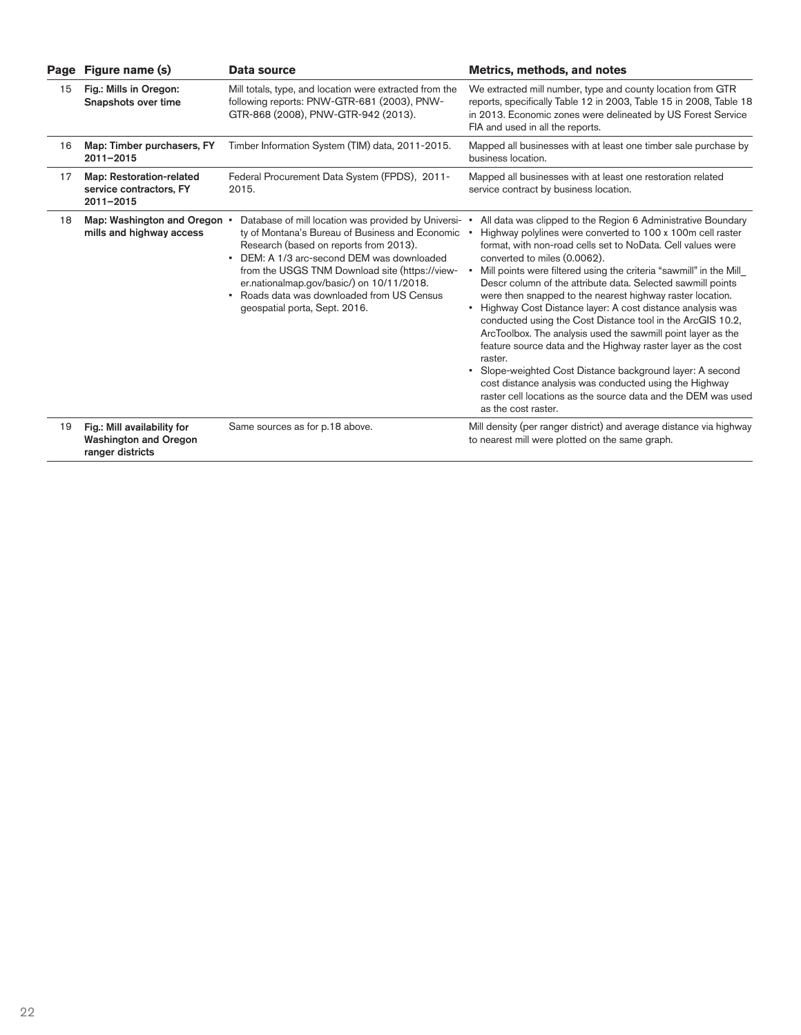| Page | Figure name (s)                                                                 | Data source                                                                                                                                                                                                                                                                                                                                                                        | <b>Metrics, methods, and notes</b>                                                                                                                                                                                                                                                                                                                                                                                                                                                                                                                                                                                                                                                                                                                                                                                                                                                                               |
|------|---------------------------------------------------------------------------------|------------------------------------------------------------------------------------------------------------------------------------------------------------------------------------------------------------------------------------------------------------------------------------------------------------------------------------------------------------------------------------|------------------------------------------------------------------------------------------------------------------------------------------------------------------------------------------------------------------------------------------------------------------------------------------------------------------------------------------------------------------------------------------------------------------------------------------------------------------------------------------------------------------------------------------------------------------------------------------------------------------------------------------------------------------------------------------------------------------------------------------------------------------------------------------------------------------------------------------------------------------------------------------------------------------|
| 15   | Fig.: Mills in Oregon:<br>Snapshots over time                                   | Mill totals, type, and location were extracted from the<br>following reports: PNW-GTR-681 (2003), PNW-<br>GTR-868 (2008), PNW-GTR-942 (2013).                                                                                                                                                                                                                                      | We extracted mill number, type and county location from GTR<br>reports, specifically Table 12 in 2003, Table 15 in 2008, Table 18<br>in 2013. Economic zones were delineated by US Forest Service<br>FIA and used in all the reports.                                                                                                                                                                                                                                                                                                                                                                                                                                                                                                                                                                                                                                                                            |
| 16   | Map: Timber purchasers, FY<br>$2011 - 2015$                                     | Timber Information System (TIM) data, 2011-2015.                                                                                                                                                                                                                                                                                                                                   | Mapped all businesses with at least one timber sale purchase by<br>business location.                                                                                                                                                                                                                                                                                                                                                                                                                                                                                                                                                                                                                                                                                                                                                                                                                            |
| 17   | Map: Restoration-related<br>service contractors, FY<br>$2011 - 2015$            | Federal Procurement Data System (FPDS), 2011-<br>2015.                                                                                                                                                                                                                                                                                                                             | Mapped all businesses with at least one restoration related<br>service contract by business location.                                                                                                                                                                                                                                                                                                                                                                                                                                                                                                                                                                                                                                                                                                                                                                                                            |
| 18   | Map: Washington and Oregon •<br>mills and highway access                        | Database of mill location was provided by Universi-<br>ty of Montana's Bureau of Business and Economic<br>Research (based on reports from 2013).<br>DEM: A 1/3 arc-second DEM was downloaded<br>٠<br>from the USGS TNM Download site (https://view-<br>er.nationalmap.gov/basic/) on 10/11/2018.<br>Roads data was downloaded from US Census<br>٠<br>geospatial porta, Sept. 2016. | All data was clipped to the Region 6 Administrative Boundary<br>Highway polylines were converted to 100 x 100m cell raster<br>format, with non-road cells set to NoData. Cell values were<br>converted to miles (0.0062).<br>Mill points were filtered using the criteria "sawmill" in the Mill<br>Descr column of the attribute data. Selected sawmill points<br>were then snapped to the nearest highway raster location.<br>• Highway Cost Distance layer: A cost distance analysis was<br>conducted using the Cost Distance tool in the ArcGIS 10.2,<br>ArcToolbox. The analysis used the sawmill point layer as the<br>feature source data and the Highway raster layer as the cost<br>raster.<br>Slope-weighted Cost Distance background layer: A second<br>cost distance analysis was conducted using the Highway<br>raster cell locations as the source data and the DEM was used<br>as the cost raster. |
| 19   | Fig.: Mill availability for<br><b>Washington and Oregon</b><br>ranger districts | Same sources as for p.18 above.                                                                                                                                                                                                                                                                                                                                                    | Mill density (per ranger district) and average distance via highway<br>to nearest mill were plotted on the same graph.                                                                                                                                                                                                                                                                                                                                                                                                                                                                                                                                                                                                                                                                                                                                                                                           |